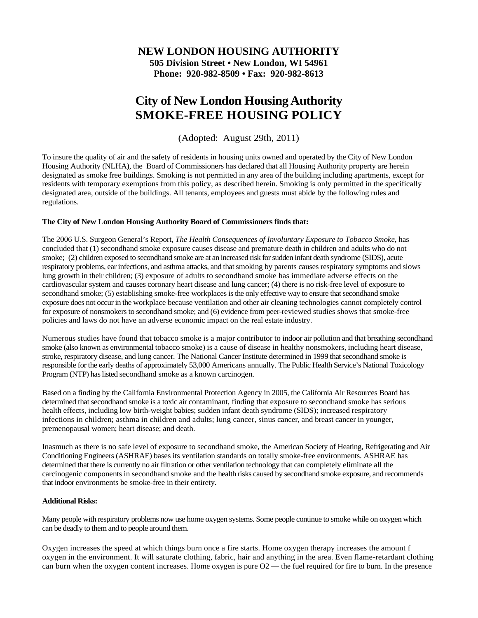## **NEW LONDON HOUSING AUTHORITY 505 Division Street • New London, WI 54961 Phone: 920-982-8509 • Fax: 920-982-8613**

## **City of New London Housing Authority SMOKE-FREE HOUSING POLICY**

(Adopted: August 29th, 2011)

To insure the quality of air and the safety of residents in housing units owned and operated by the City of New London Housing Authority (NLHA), the Board of Commissioners has declared that all Housing Authority property are herein designated as smoke free buildings. Smoking is not permitted in any area of the building including apartments, except for residents with temporary exemptions from this policy, as described herein. Smoking is only permitted in the specifically designated area, outside of the buildings. All tenants, employees and guests must abide by the following rules and regulations.

## **The City of New London Housing Authority Board of Commissioners finds that:**

The 2006 U.S. Surgeon General's Report, *The Health Consequences of Involuntary Exposure to Tobacco Smoke*, has concluded that (1) secondhand smoke exposure causes disease and premature death in children and adults who do not smoke; (2) children exposed to secondhand smoke are at an increased risk for sudden infant death syndrome (SIDS), acute respiratory problems, ear infections, and asthma attacks, and that smoking by parents causes respiratory symptoms and slows lung growth in their children; (3) exposure of adults to secondhand smoke has immediate adverse effects on the cardiovascular system and causes coronary heart disease and lung cancer; (4) there is no risk-free level of exposure to secondhand smoke; (5) establishing smoke-free workplaces is the only effective way to ensure that secondhand smoke exposure does not occur in the workplace because ventilation and other air cleaning technologies cannot completely control for exposure of nonsmokers to secondhand smoke; and (6) evidence from peer-reviewed studies shows that smoke-free policies and laws do not have an adverse economic impact on the real estate industry.

Numerous studies have found that tobacco smoke is a major contributor to indoor air pollution and that breathing secondhand smoke (also known as environmental tobacco smoke) is a cause of disease in healthy nonsmokers, including heart disease, stroke, respiratory disease, and lung cancer. The National Cancer Institute determined in 1999 that secondhand smoke is responsible for the early deaths of approximately 53,000 Americans annually. The Public Health Service's National Toxicology Program (NTP) has listed secondhand smoke as a known carcinogen.

Based on a finding by the California Environmental Protection Agency in 2005, the California Air Resources Board has determined that secondhand smoke is a toxic air contaminant, finding that exposure to secondhand smoke has serious health effects, including low birth-weight babies; sudden infant death syndrome (SIDS); increased respiratory infections in children; asthma in children and adults; lung cancer, sinus cancer, and breast cancer in younger, premenopausal women; heart disease; and death.

Inasmuch as there is no safe level of exposure to secondhand smoke, the American Society of Heating, Refrigerating and Air Conditioning Engineers (ASHRAE) bases its ventilation standards on totally smoke-free environments. ASHRAE has determined that there is currently no air filtration or other ventilation technology that can completely eliminate all the carcinogenic components in secondhand smoke and the health risks caused by secondhand smoke exposure, and recommends that indoor environments be smoke-free in their entirety.

## **Additional Risks:**

Many people with respiratory problems now use home oxygen systems. Some people continue to smoke while on oxygen which can be deadly to them and to people around them.

Oxygen increases the speed at which things burn once a fire starts. Home oxygen therapy increases the amount f oxygen in the environment. It will saturate clothing, fabric, hair and anything in the area. Even flame-retardant clothing can burn when the oxygen content increases. Home oxygen is pure  $O2$  — the fuel required for fire to burn. In the presence